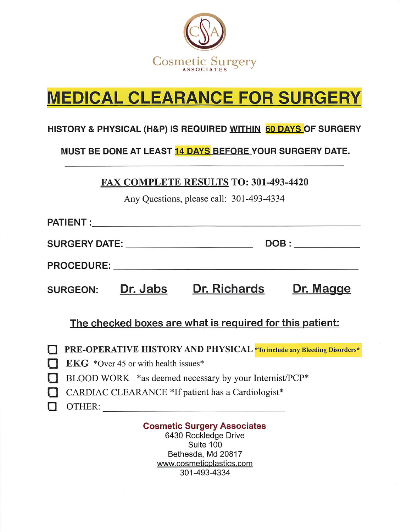

# **MEDICAL CLEARANCE FOR SURGERY**

#### HISTORY & PHYSICAL (H&P) IS REQUIRED WITHIN 60 DAYS OF SURGERY

#### MUST BE DONE AT LEAST 14 DAYS BEFORE YOUR SURGERY DATE.

**FAX COMPLETE RESULTS TO: 301-493-4420** 

Any Questions, please call: 301-493-4334

| SURGERY DATE: NAMEL SURGERY DATE: |                                                                                                                | DOB:                |           |
|-----------------------------------|----------------------------------------------------------------------------------------------------------------|---------------------|-----------|
|                                   | PROCEDURE: The contract of the contract of the contract of the contract of the contract of the contract of the |                     |           |
| <b>SURGEON:</b>                   | Dr. Jabs                                                                                                       | <b>Dr. Richards</b> | Dr. Magge |

The checked boxes are what is required for this patient:

**TE-OPERATIVE HISTORY AND PHYSICAL** \*To include any Bleeding Disorders\*

- $EKG *Over 45$  or with health issues\*
- BLOOD WORK \*as deemed necessary by your Internist/PCP\*
- CARDIAC CLEARANCE \*If patient has a Cardiologist\*
- □OTHER:

### Cosmetic Surgery Associates

6430 Rockledge Drive Suite 100 Bethesda, Md 20817 www.cosmeticplastics.com 301-493-4334